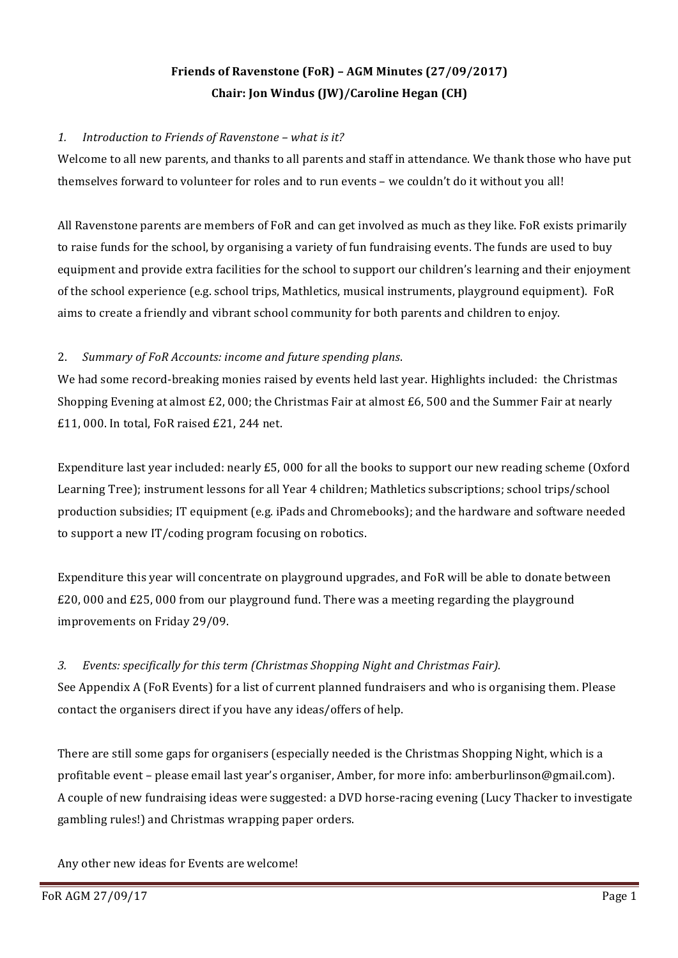# **Friends of Ravenstone (FoR) – AGM Minutes (27/09/2017) Chair:** Jon Windus (JW)/Caroline Hegan (CH)

#### 1. Introduction to Friends of Ravenstone – what is it?

Welcome to all new parents, and thanks to all parents and staff in attendance. We thank those who have put themselves forward to volunteer for roles and to run events – we couldn't do it without vou all!

All Ravenstone parents are members of FoR and can get involved as much as they like. FoR exists primarily to raise funds for the school, by organising a variety of fun fundraising events. The funds are used to buy equipment and provide extra facilities for the school to support our children's learning and their enjoyment of the school experience (e.g. school trips, Mathletics, musical instruments, playground equipment). FoR aims to create a friendly and vibrant school community for both parents and children to enjoy.

#### 2. *Summary of FoR Accounts: income and future spending plans.*

We had some record-breaking monies raised by events held last year. Highlights included: the Christmas Shopping Evening at almost  $£2$ , 000; the Christmas Fair at almost  $£6$ , 500 and the Summer Fair at nearly  $£11,000.$  In total, FoR raised  $£21,244$  net.

Expenditure last year included: nearly  $E5$ , 000 for all the books to support our new reading scheme (Oxford Learning Tree); instrument lessons for all Year 4 children; Mathletics subscriptions; school trips/school production subsidies; IT equipment (e.g. iPads and Chromebooks); and the hardware and software needed to support a new IT/coding program focusing on robotics.

Expenditure this year will concentrate on playground upgrades, and FoR will be able to donate between  $£20,000$  and  $£25,000$  from our playground fund. There was a meeting regarding the playground improvements on Friday 29/09.

#### 3. *Events: specifically for this term (Christmas Shopping Night and Christmas Fair).*

See Appendix A (FoR Events) for a list of current planned fundraisers and who is organising them. Please contact the organisers direct if you have any ideas/offers of help.

There are still some gaps for organisers (especially needed is the Christmas Shopping Night, which is a profitable event – please email last year's organiser, Amber, for more info: amberburlinson@gmail.com). A couple of new fundraising ideas were suggested: a DVD horse-racing evening (Lucy Thacker to investigate gambling rules!) and Christmas wrapping paper orders.

Any other new ideas for Events are welcome!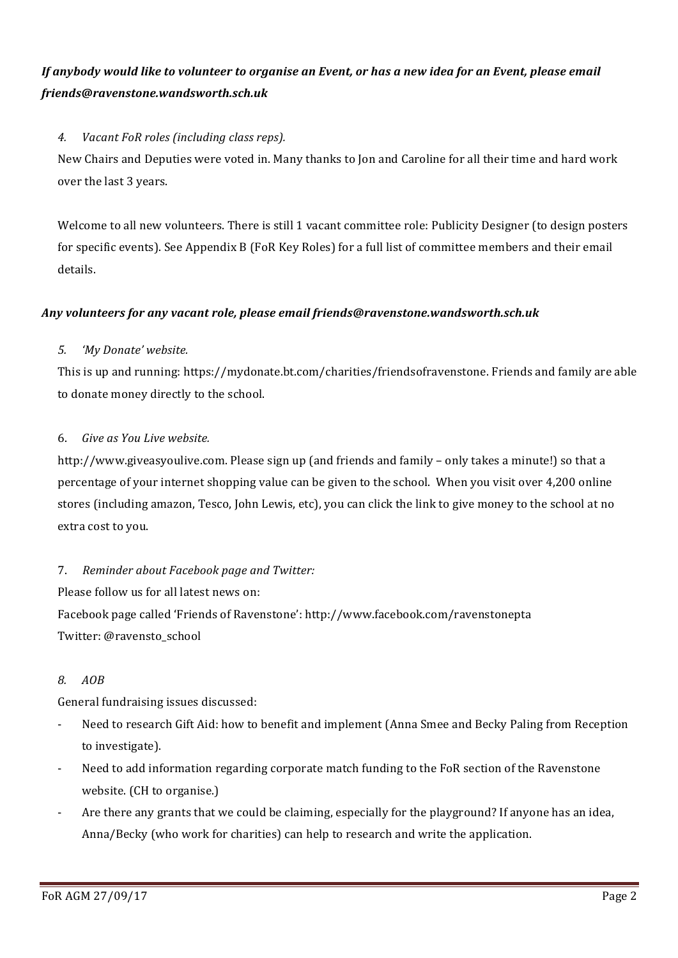## If anybody would like to volunteer to organise an Event, or has a new idea for an Event, please email *friends@ravenstone.wandsworth.sch.uk*

#### 4. *Vacant FoR roles (including class reps).*

New Chairs and Deputies were voted in. Many thanks to Ion and Caroline for all their time and hard work over the last 3 years.

Welcome to all new volunteers. There is still 1 vacant committee role: Publicity Designer (to design posters for specific events). See Appendix B (FoR Key Roles) for a full list of committee members and their email details. 

#### Any volunteers for any vacant role, please email friends@ravenstone.wandsworth.sch.uk

#### *5. 'My Donate' website.*

This is up and running: https://mydonate.bt.com/charities/friendsofravenstone. Friends and family are able to donate money directly to the school.

#### 6. *Give as You Live website.*

http://www.giveasyoulive.com. Please sign up (and friends and family – only takes a minute!) so that a percentage of your internet shopping value can be given to the school. When you visit over 4,200 online stores (including amazon, Tesco, John Lewis, etc), you can click the link to give money to the school at no extra cost to you.

#### 7. *Reminder about Facebook page and Twitter:*

Please follow us for all latest news on:

Facebook page called 'Friends of Ravenstone': http://www.facebook.com/ravenstonepta Twitter: @ravensto\_school

#### *8. AOB*

General fundraising issues discussed:

- Need to research Gift Aid: how to benefit and implement (Anna Smee and Becky Paling from Reception to investigate).
- Need to add information regarding corporate match funding to the FoR section of the Ravenstone website. (CH to organise.)
- Are there any grants that we could be claiming, especially for the playground? If anyone has an idea, Anna/Becky (who work for charities) can help to research and write the application.